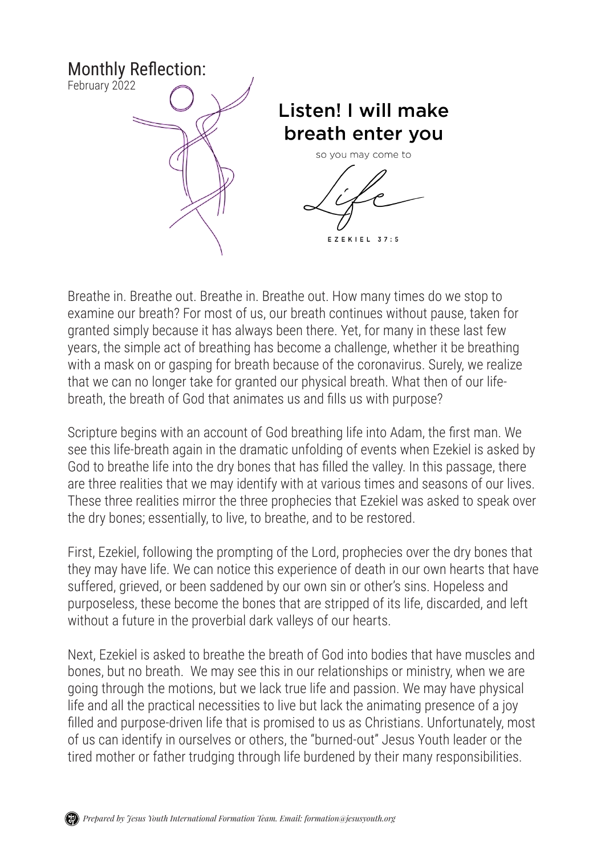

Breathe in. Breathe out. Breathe in. Breathe out. How many times do we stop to examine our breath? For most of us, our breath continues without pause, taken for granted simply because it has always been there. Yet, for many in these last few years, the simple act of breathing has become a challenge, whether it be breathing with a mask on or gasping for breath because of the coronavirus. Surely, we realize that we can no longer take for granted our physical breath. What then of our lifebreath, the breath of God that animates us and fills us with purpose?

Scripture begins with an account of God breathing life into Adam, the first man. We see this life-breath again in the dramatic unfolding of events when Ezekiel is asked by God to breathe life into the dry bones that has filled the valley. In this passage, there are three realities that we may identify with at various times and seasons of our lives. These three realities mirror the three prophecies that Ezekiel was asked to speak over the dry bones; essentially, to live, to breathe, and to be restored.

First, Ezekiel, following the prompting of the Lord, prophecies over the dry bones that they may have life. We can notice this experience of death in our own hearts that have suffered, grieved, or been saddened by our own sin or other's sins. Hopeless and purposeless, these become the bones that are stripped of its life, discarded, and left without a future in the proverbial dark valleys of our hearts.

Next, Ezekiel is asked to breathe the breath of God into bodies that have muscles and bones, but no breath. We may see this in our relationships or ministry, when we are going through the motions, but we lack true life and passion. We may have physical life and all the practical necessities to live but lack the animating presence of a joy filled and purpose-driven life that is promised to us as Christians. Unfortunately, most of us can identify in ourselves or others, the "burned-out" Jesus Youth leader or the tired mother or father trudging through life burdened by their many responsibilities.

*Prepared by Jesus Youth International Formation Team. Email: formation@jesusyouth.org*